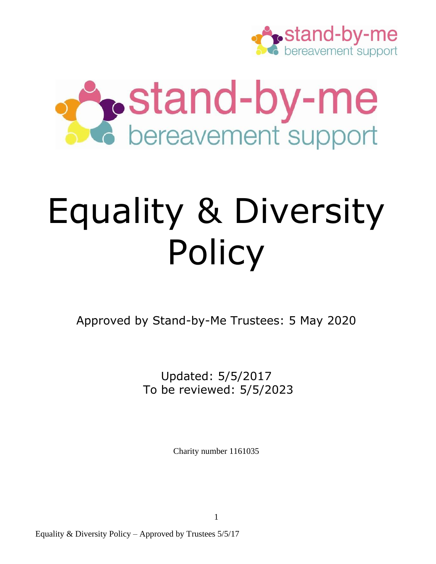



# Equality & Diversity Policy

Approved by Stand-by-Me Trustees: 5 May 2020

Updated: 5/5/2017 To be reviewed: 5/5/2023

Charity number 1161035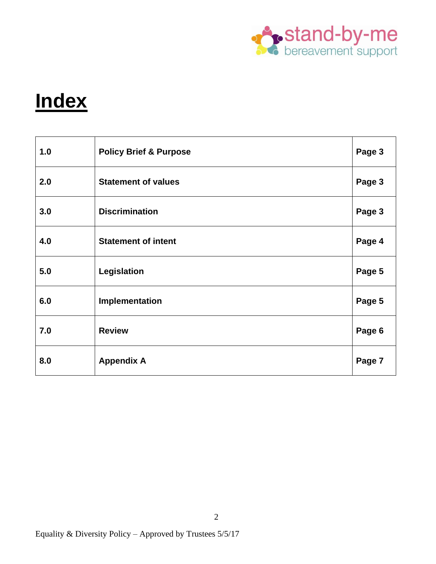

# **Index**

| 1.0 | <b>Policy Brief &amp; Purpose</b> | Page 3 |
|-----|-----------------------------------|--------|
| 2.0 | <b>Statement of values</b>        | Page 3 |
| 3.0 | <b>Discrimination</b>             | Page 3 |
| 4.0 | <b>Statement of intent</b>        | Page 4 |
| 5.0 | Legislation                       | Page 5 |
| 6.0 | Implementation                    | Page 5 |
| 7.0 | <b>Review</b>                     | Page 6 |
| 8.0 | <b>Appendix A</b>                 | Page 7 |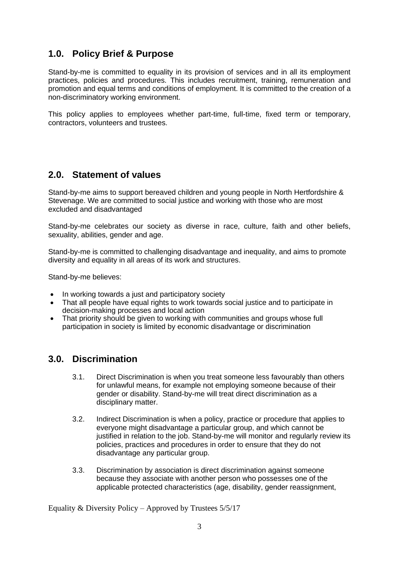## **1.0. Policy Brief & Purpose**

Stand-by-me is committed to equality in its provision of services and in all its employment practices, policies and procedures. This includes recruitment, training, remuneration and promotion and equal terms and conditions of employment. It is committed to the creation of a non-discriminatory working environment.

This policy applies to employees whether part-time, full-time, fixed term or temporary, contractors, volunteers and trustees.

### **2.0. Statement of values**

Stand-by-me aims to support bereaved children and young people in North Hertfordshire & Stevenage. We are committed to social justice and working with those who are most excluded and disadvantaged

Stand-by-me celebrates our society as diverse in race, culture, faith and other beliefs, sexuality, abilities, gender and age.

Stand-by-me is committed to challenging disadvantage and inequality, and aims to promote diversity and equality in all areas of its work and structures.

Stand-by-me believes:

- In working towards a just and participatory society
- That all people have equal rights to work towards social justice and to participate in decision-making processes and local action
- That priority should be given to working with communities and groups whose full participation in society is limited by economic disadvantage or discrimination

#### **3.0. Discrimination**

- 3.1. Direct Discrimination is when you treat someone less favourably than others for unlawful means, for example not employing someone because of their gender or disability. Stand-by-me will treat direct discrimination as a disciplinary matter.
- 3.2. Indirect Discrimination is when a policy, practice or procedure that applies to everyone might disadvantage a particular group, and which cannot be justified in relation to the job. Stand-by-me will monitor and regularly review its policies, practices and procedures in order to ensure that they do not disadvantage any particular group.
- 3.3. Discrimination by association is direct discrimination against someone because they associate with another person who possesses one of the applicable protected characteristics (age, disability, gender reassignment,

Equality & Diversity Policy – Approved by Trustees 5/5/17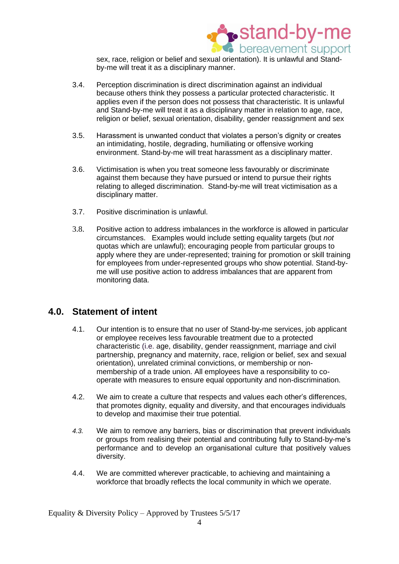

sex, race, religion or belief and sexual orientation). It is unlawful and Standby-me will treat it as a disciplinary manner.

- 3.4. Perception discrimination is direct discrimination against an individual because others think they possess a particular protected characteristic. It applies even if the person does not possess that characteristic. It is unlawful and Stand-by-me will treat it as a disciplinary matter in relation to age, race, religion or belief, sexual orientation, disability, gender reassignment and sex
- 3.5. Harassment is unwanted conduct that violates a person's dignity or creates an intimidating, hostile, degrading, humiliating or offensive working environment. Stand-by-me will treat harassment as a disciplinary matter.
- 3.6. Victimisation is when you treat someone less favourably or discriminate against them because they have pursued or intend to pursue their rights relating to alleged discrimination. Stand-by-me will treat victimisation as a disciplinary matter.
- 3.7. Positive discrimination is unlawful.
- 3.8. Positive action to address imbalances in the workforce is allowed in particular circumstances. Examples would include setting equality targets (but *not*  quotas which are unlawful); encouraging people from particular groups to apply where they are under-represented; training for promotion or skill training for employees from under-represented groups who show potential. Stand-byme will use positive action to address imbalances that are apparent from monitoring data.

#### **4.0. Statement of intent**

- 4.1. Our intention is to ensure that no user of Stand-by-me services, job applicant or employee receives less favourable treatment due to a protected characteristic (i.e. age, disability, gender reassignment, marriage and civil partnership, pregnancy and maternity, race, religion or belief, sex and sexual orientation), unrelated criminal convictions, or membership or nonmembership of a trade union. All employees have a responsibility to cooperate with measures to ensure equal opportunity and non-discrimination.
- 4.2. We aim to create a culture that respects and values each other's differences, that promotes dignity, equality and diversity, and that encourages individuals to develop and maximise their true potential.
- *4.3.* We aim to remove any barriers, bias or discrimination that prevent individuals or groups from realising their potential and contributing fully to Stand-by-me's performance and to develop an organisational culture that positively values diversity.
- 4.4. We are committed wherever practicable, to achieving and maintaining a workforce that broadly reflects the local community in which we operate.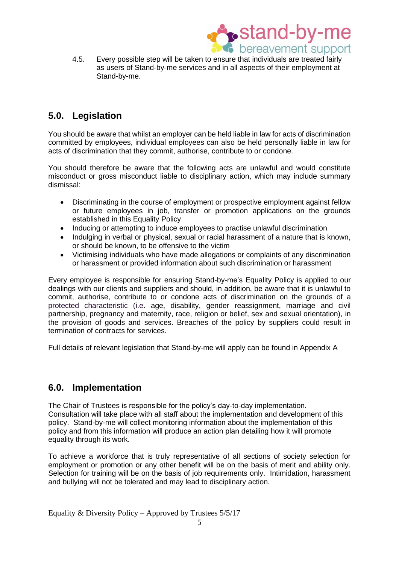

4.5. Every possible step will be taken to ensure that individuals are treated fairly as users of Stand-by-me services and in all aspects of their employment at Stand-by-me.

# **5.0. Legislation**

You should be aware that whilst an employer can be held liable in law for acts of discrimination committed by employees, individual employees can also be held personally liable in law for acts of discrimination that they commit, authorise, contribute to or condone.

You should therefore be aware that the following acts are unlawful and would constitute misconduct or gross misconduct liable to disciplinary action, which may include summary dismissal:

- Discriminating in the course of employment or prospective employment against fellow or future employees in job, transfer or promotion applications on the grounds established in this Equality Policy
- Inducing or attempting to induce employees to practise unlawful discrimination
- Indulging in verbal or physical, sexual or racial harassment of a nature that is known, or should be known, to be offensive to the victim
- Victimising individuals who have made allegations or complaints of any discrimination or harassment or provided information about such discrimination or harassment

Every employee is responsible for ensuring Stand-by-me's Equality Policy is applied to our dealings with our clients and suppliers and should, in addition, be aware that it is unlawful to commit, authorise, contribute to or condone acts of discrimination on the grounds of a protected characteristic (i.e. age, disability, gender reassignment, marriage and civil partnership, pregnancy and maternity, race, religion or belief, sex and sexual orientation), in the provision of goods and services. Breaches of the policy by suppliers could result in termination of contracts for services.

Full details of relevant legislation that Stand-by-me will apply can be found in Appendix A

# **6.0. Implementation**

The Chair of Trustees is responsible for the policy's day-to-day implementation. Consultation will take place with all staff about the implementation and development of this policy. Stand-by-me will collect monitoring information about the implementation of this policy and from this information will produce an action plan detailing how it will promote equality through its work.

To achieve a workforce that is truly representative of all sections of society selection for employment or promotion or any other benefit will be on the basis of merit and ability only. Selection for training will be on the basis of job requirements only. Intimidation, harassment and bullying will not be tolerated and may lead to disciplinary action.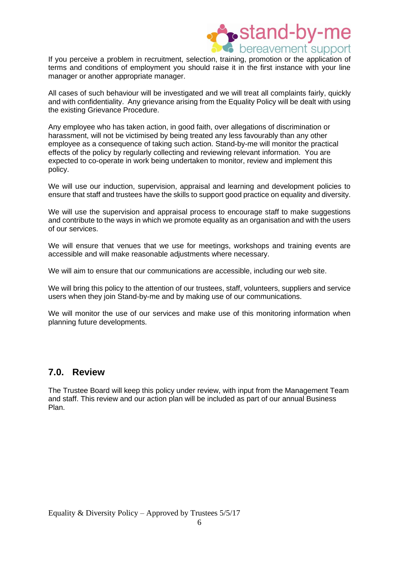

If you perceive a problem in recruitment, selection, training, promotion or the application of terms and conditions of employment you should raise it in the first instance with your line manager or another appropriate manager.

All cases of such behaviour will be investigated and we will treat all complaints fairly, quickly and with confidentiality. Any grievance arising from the Equality Policy will be dealt with using the existing Grievance Procedure.

Any employee who has taken action, in good faith, over allegations of discrimination or harassment, will not be victimised by being treated any less favourably than any other employee as a consequence of taking such action. Stand-by-me will monitor the practical effects of the policy by regularly collecting and reviewing relevant information. You are expected to co-operate in work being undertaken to monitor, review and implement this policy.

We will use our induction, supervision, appraisal and learning and development policies to ensure that staff and trustees have the skills to support good practice on equality and diversity.

We will use the supervision and appraisal process to encourage staff to make suggestions and contribute to the ways in which we promote equality as an organisation and with the users of our services.

We will ensure that venues that we use for meetings, workshops and training events are accessible and will make reasonable adjustments where necessary.

We will aim to ensure that our communications are accessible, including our web site.

We will bring this policy to the attention of our trustees, staff, volunteers, suppliers and service users when they join Stand-by-me and by making use of our communications.

We will monitor the use of our services and make use of this monitoring information when planning future developments.

#### **7.0. Review**

The Trustee Board will keep this policy under review, with input from the Management Team and staff. This review and our action plan will be included as part of our annual Business Plan.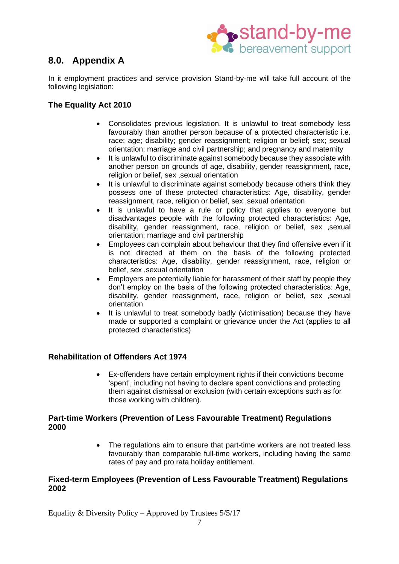

# **8.0. Appendix A**

In it employment practices and service provision Stand-by-me will take full account of the following legislation:

#### **The Equality Act 2010**

- Consolidates previous legislation. It is unlawful to treat somebody less favourably than another person because of a protected characteristic i.e. race; age; disability; gender reassignment; religion or belief; sex; sexual orientation; marriage and civil partnership; and pregnancy and maternity
- It is unlawful to discriminate against somebody because they associate with another person on grounds of age, disability, gender reassignment, race, religion or belief, sex ,sexual orientation
- It is unlawful to discriminate against somebody because others think they possess one of these protected characteristics: Age, disability, gender reassignment, race, religion or belief, sex ,sexual orientation
- It is unlawful to have a rule or policy that applies to everyone but disadvantages people with the following protected characteristics: Age, disability, gender reassignment, race, religion or belief, sex ,sexual orientation; marriage and civil partnership
- Employees can complain about behaviour that they find offensive even if it is not directed at them on the basis of the following protected characteristics: Age, disability, gender reassignment, race, religion or belief, sex ,sexual orientation
- Employers are potentially liable for harassment of their staff by people they don't employ on the basis of the following protected characteristics: Age, disability, gender reassignment, race, religion or belief, sex ,sexual orientation
- It is unlawful to treat somebody badly (victimisation) because they have made or supported a complaint or grievance under the Act (applies to all protected characteristics)

#### **Rehabilitation of Offenders Act 1974**

• Ex-offenders have certain employment rights if their convictions become 'spent', including not having to declare spent convictions and protecting them against dismissal or exclusion (with certain exceptions such as for those working with children).

#### **Part-time Workers (Prevention of Less Favourable Treatment) Regulations 2000**

• The regulations aim to ensure that part-time workers are not treated less favourably than comparable full-time workers, including having the same rates of pay and pro rata holiday entitlement.

#### **Fixed-term Employees (Prevention of Less Favourable Treatment) Regulations 2002**

Equality & Diversity Policy – Approved by Trustees 5/5/17